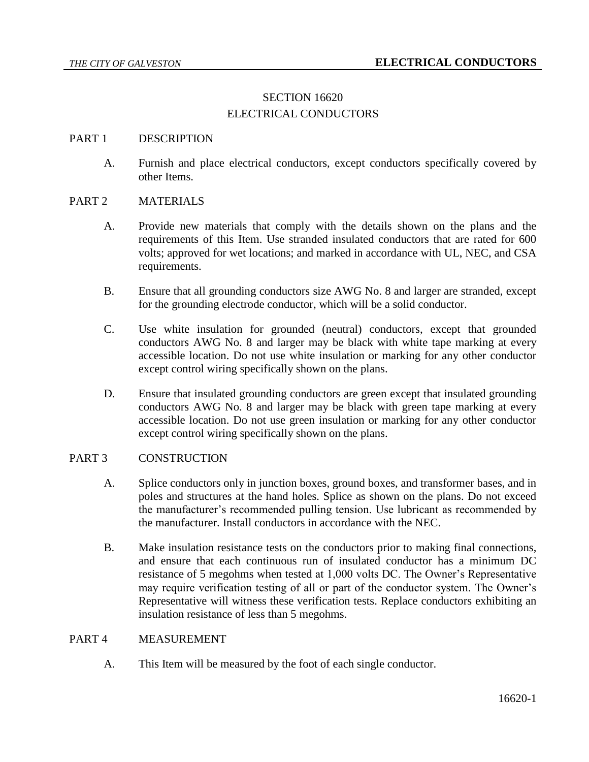# SECTION 16620 ELECTRICAL CONDUCTORS

## PART 1 DESCRIPTION

A. Furnish and place electrical conductors, except conductors specifically covered by other Items.

## PART 2 MATERIALS

- A. Provide new materials that comply with the details shown on the plans and the requirements of this Item. Use stranded insulated conductors that are rated for 600 volts; approved for wet locations; and marked in accordance with UL, NEC, and CSA requirements.
- B. Ensure that all grounding conductors size AWG No. 8 and larger are stranded, except for the grounding electrode conductor, which will be a solid conductor.
- C. Use white insulation for grounded (neutral) conductors, except that grounded conductors AWG No. 8 and larger may be black with white tape marking at every accessible location. Do not use white insulation or marking for any other conductor except control wiring specifically shown on the plans.
- D. Ensure that insulated grounding conductors are green except that insulated grounding conductors AWG No. 8 and larger may be black with green tape marking at every accessible location. Do not use green insulation or marking for any other conductor except control wiring specifically shown on the plans.

#### PART 3 CONSTRUCTION

- A. Splice conductors only in junction boxes, ground boxes, and transformer bases, and in poles and structures at the hand holes. Splice as shown on the plans. Do not exceed the manufacturer's recommended pulling tension. Use lubricant as recommended by the manufacturer. Install conductors in accordance with the NEC.
- B. Make insulation resistance tests on the conductors prior to making final connections, and ensure that each continuous run of insulated conductor has a minimum DC resistance of 5 megohms when tested at 1,000 volts DC. The Owner's Representative may require verification testing of all or part of the conductor system. The Owner's Representative will witness these verification tests. Replace conductors exhibiting an insulation resistance of less than 5 megohms.

#### PART 4 MEASUREMENT

A. This Item will be measured by the foot of each single conductor.